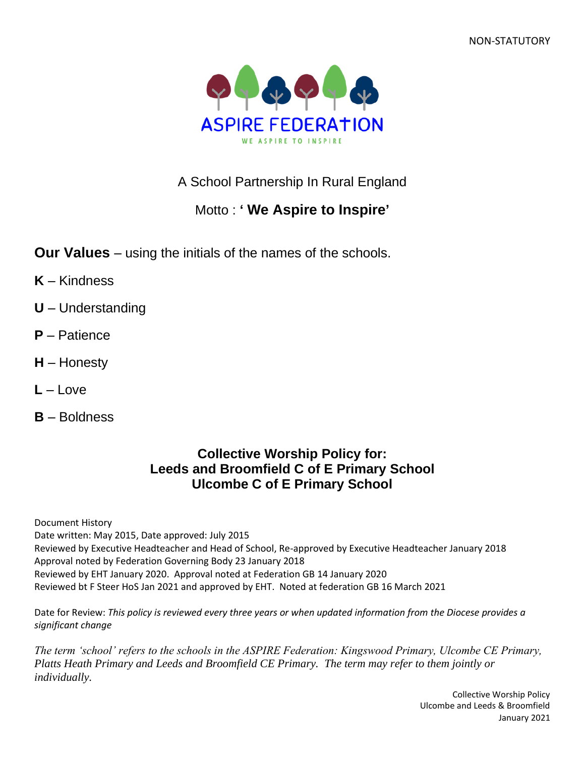NON-STATUTORY



A School Partnership In Rural England

# Motto : **' We Aspire to Inspire'**

- **Our Values** using the initials of the names of the schools.
- **K** Kindness
- **U** Understanding
- **P** Patience
- **H** Honesty
- **L** Love
- **B** Boldness

## **Collective Worship Policy for: Leeds and Broomfield C of E Primary School Ulcombe C of E Primary School**

Document History Date written: May 2015, Date approved: July 2015 Reviewed by Executive Headteacher and Head of School, Re-approved by Executive Headteacher January 2018 Approval noted by Federation Governing Body 23 January 2018 Reviewed by EHT January 2020. Approval noted at Federation GB 14 January 2020 Reviewed bt F Steer HoS Jan 2021 and approved by EHT. Noted at federation GB 16 March 2021

Date for Review: *This policy is reviewed every three years or when updated information from the Diocese provides a significant change*

*The term 'school' refers to the schools in the ASPIRE Federation: Kingswood Primary, Ulcombe CE Primary, Platts Heath Primary and Leeds and Broomfield CE Primary. The term may refer to them jointly or individually.*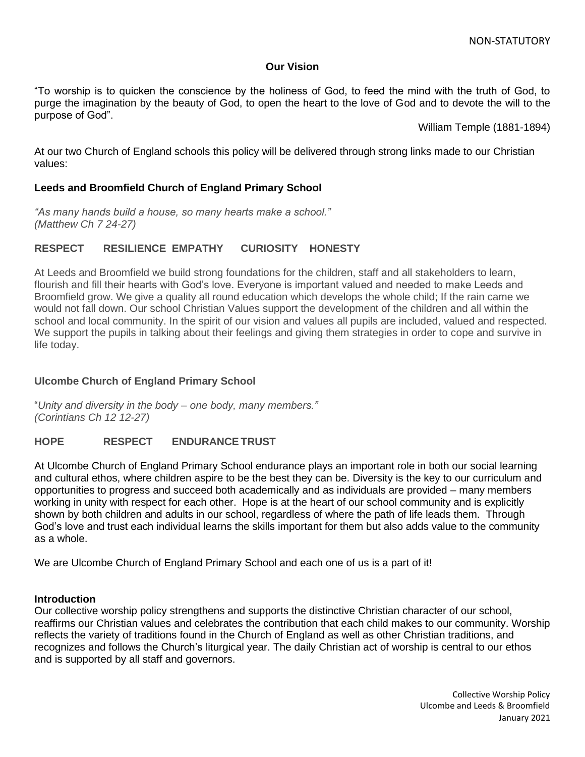### **Our Vision**

"To worship is to quicken the conscience by the holiness of God, to feed the mind with the truth of God, to purge the imagination by the beauty of God, to open the heart to the love of God and to devote the will to the purpose of God".

William Temple (1881-1894)

At our two Church of England schools this policy will be delivered through strong links made to our Christian values:

### **Leeds and Broomfield Church of England Primary School**

*"As many hands build a house, so many hearts make a school." (Matthew Ch 7 24-27)*

### **RESPECT RESILIENCE EMPATHY CURIOSITY HONESTY**

At Leeds and Broomfield we build strong foundations for the children, staff and all stakeholders to learn, flourish and fill their hearts with God's love. Everyone is important valued and needed to make Leeds and Broomfield grow. We give a quality all round education which develops the whole child; If the rain came we would not fall down. Our school Christian Values support the development of the children and all within the school and local community. In the spirit of our vision and values all pupils are included, valued and respected. We support the pupils in talking about their feelings and giving them strategies in order to cope and survive in life today.

### **Ulcombe Church of England Primary School**

"*Unity and diversity in the body – one body, many members." (Corintians Ch 12 12-27)*

### **HOPE RESPECT ENDURANCETRUST**

At Ulcombe Church of England Primary School endurance plays an important role in both our social learning and cultural ethos, where children aspire to be the best they can be. Diversity is the key to our curriculum and opportunities to progress and succeed both academically and as individuals are provided – many members working in unity with respect for each other. Hope is at the heart of our school community and is explicitly shown by both children and adults in our school, regardless of where the path of life leads them. Through God's love and trust each individual learns the skills important for them but also adds value to the community as a whole.

We are Ulcombe Church of England Primary School and each one of us is a part of it!

### **Introduction**

Our collective worship policy strengthens and supports the distinctive Christian character of our school, reaffirms our Christian values and celebrates the contribution that each child makes to our community. Worship reflects the variety of traditions found in the Church of England as well as other Christian traditions, and recognizes and follows the Church's liturgical year. The daily Christian act of worship is central to our ethos and is supported by all staff and governors.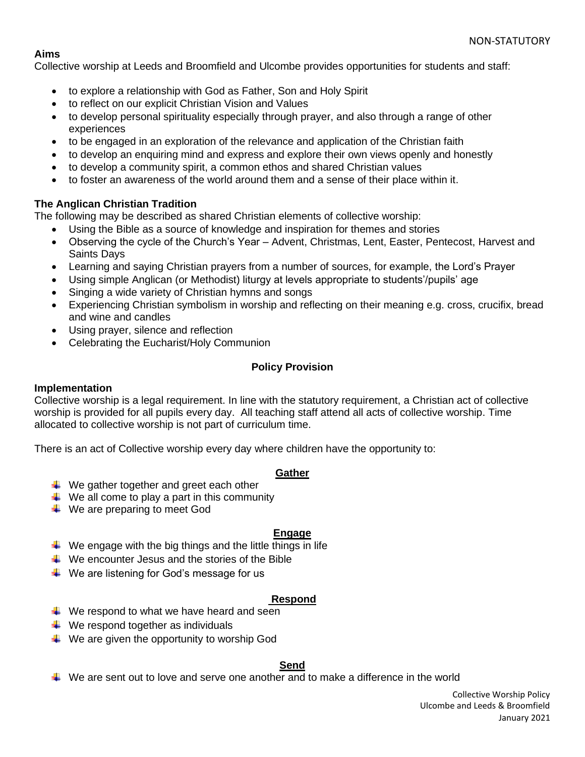### **Aims**

Collective worship at Leeds and Broomfield and Ulcombe provides opportunities for students and staff:

- to explore a relationship with God as Father, Son and Holy Spirit
- to reflect on our explicit Christian Vision and Values
- to develop personal spirituality especially through prayer, and also through a range of other experiences
- to be engaged in an exploration of the relevance and application of the Christian faith
- to develop an enquiring mind and express and explore their own views openly and honestly
- to develop a community spirit, a common ethos and shared Christian values
- to foster an awareness of the world around them and a sense of their place within it.

### **The Anglican Christian Tradition**

The following may be described as shared Christian elements of collective worship:

- Using the Bible as a source of knowledge and inspiration for themes and stories
- Observing the cycle of the Church's Year Advent, Christmas, Lent, Easter, Pentecost, Harvest and Saints Days
- Learning and saying Christian prayers from a number of sources, for example, the Lord's Prayer
- Using simple Anglican (or Methodist) liturgy at levels appropriate to students'/pupils' age
- Singing a wide variety of Christian hymns and songs
- Experiencing Christian symbolism in worship and reflecting on their meaning e.g. cross, crucifix, bread and wine and candles
- Using prayer, silence and reflection
- Celebrating the Eucharist/Holy Communion

### **Policy Provision**

### **Implementation**

Collective worship is a legal requirement. In line with the statutory requirement, a Christian act of collective worship is provided for all pupils every day. All teaching staff attend all acts of collective worship. Time allocated to collective worship is not part of curriculum time.

There is an act of Collective worship every day where children have the opportunity to:

### **Gather**

- $\frac{1}{2}$  We gather together and greet each other
- $\downarrow$  We all come to play a part in this community
- $\downarrow$  We are preparing to meet God

### **Engage**

- $\ddot{\phantom{1}}$  We engage with the big things and the little things in life
- $\ddotplus$  We encounter Jesus and the stories of the Bible
- $\ddot{*}$  We are listening for God's message for us

### **Respond**

- $\downarrow$  We respond to what we have heard and seen
- $\downarrow$  We respond together as individuals
- $\downarrow$  We are given the opportunity to worship God

### **Send**

 $\downarrow$  We are sent out to love and serve one another and to make a difference in the world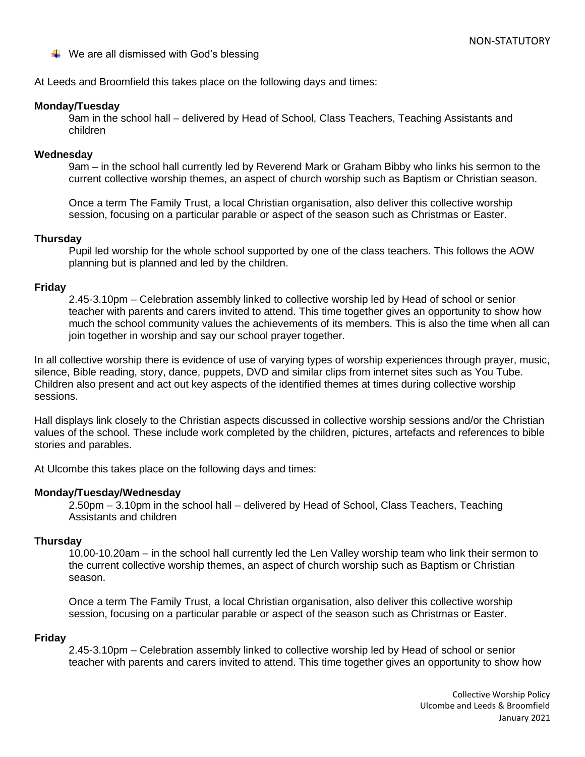$\downarrow$  We are all dismissed with God's blessing

At Leeds and Broomfield this takes place on the following days and times:

### **Monday/Tuesday**

9am in the school hall – delivered by Head of School, Class Teachers, Teaching Assistants and children

### **Wednesday**

9am – in the school hall currently led by Reverend Mark or Graham Bibby who links his sermon to the current collective worship themes, an aspect of church worship such as Baptism or Christian season.

Once a term The Family Trust, a local Christian organisation, also deliver this collective worship session, focusing on a particular parable or aspect of the season such as Christmas or Easter.

### **Thursday**

Pupil led worship for the whole school supported by one of the class teachers. This follows the AOW planning but is planned and led by the children.

### **Friday**

2.45-3.10pm – Celebration assembly linked to collective worship led by Head of school or senior teacher with parents and carers invited to attend. This time together gives an opportunity to show how much the school community values the achievements of its members. This is also the time when all can join together in worship and say our school prayer together.

In all collective worship there is evidence of use of varying types of worship experiences through prayer, music, silence, Bible reading, story, dance, puppets, DVD and similar clips from internet sites such as You Tube. Children also present and act out key aspects of the identified themes at times during collective worship sessions.

Hall displays link closely to the Christian aspects discussed in collective worship sessions and/or the Christian values of the school. These include work completed by the children, pictures, artefacts and references to bible stories and parables.

At Ulcombe this takes place on the following days and times:

### **Monday/Tuesday/Wednesday**

2.50pm – 3.10pm in the school hall – delivered by Head of School, Class Teachers, Teaching Assistants and children

### **Thursday**

10.00-10.20am – in the school hall currently led the Len Valley worship team who link their sermon to the current collective worship themes, an aspect of church worship such as Baptism or Christian season.

Once a term The Family Trust, a local Christian organisation, also deliver this collective worship session, focusing on a particular parable or aspect of the season such as Christmas or Easter.

### **Friday**

2.45-3.10pm – Celebration assembly linked to collective worship led by Head of school or senior teacher with parents and carers invited to attend. This time together gives an opportunity to show how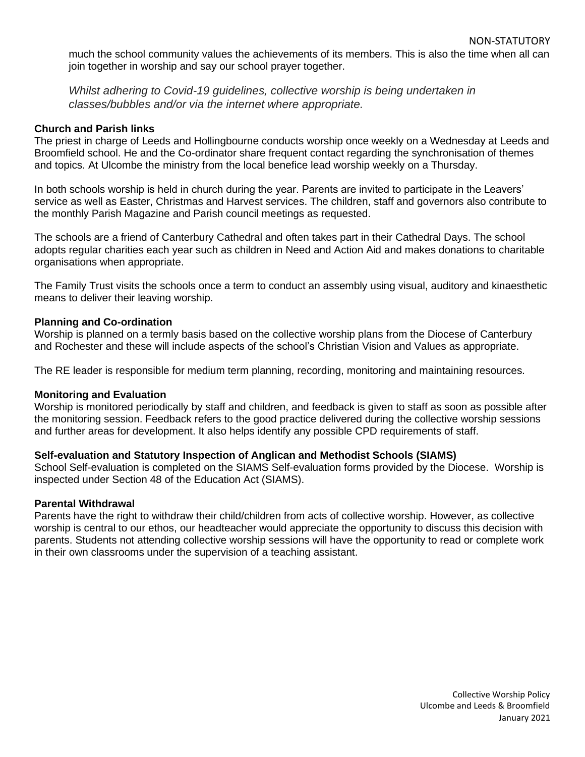much the school community values the achievements of its members. This is also the time when all can join together in worship and say our school prayer together.

*Whilst adhering to Covid-19 guidelines, collective worship is being undertaken in classes/bubbles and/or via the internet where appropriate.*

#### **Church and Parish links**

The priest in charge of Leeds and Hollingbourne conducts worship once weekly on a Wednesday at Leeds and Broomfield school. He and the Co-ordinator share frequent contact regarding the synchronisation of themes and topics. At Ulcombe the ministry from the local benefice lead worship weekly on a Thursday.

In both schools worship is held in church during the year. Parents are invited to participate in the Leavers' service as well as Easter, Christmas and Harvest services. The children, staff and governors also contribute to the monthly Parish Magazine and Parish council meetings as requested.

The schools are a friend of Canterbury Cathedral and often takes part in their Cathedral Days. The school adopts regular charities each year such as children in Need and Action Aid and makes donations to charitable organisations when appropriate.

The Family Trust visits the schools once a term to conduct an assembly using visual, auditory and kinaesthetic means to deliver their leaving worship.

#### **Planning and Co-ordination**

Worship is planned on a termly basis based on the collective worship plans from the Diocese of Canterbury and Rochester and these will include aspects of the school's Christian Vision and Values as appropriate.

The RE leader is responsible for medium term planning, recording, monitoring and maintaining resources.

#### **Monitoring and Evaluation**

Worship is monitored periodically by staff and children, and feedback is given to staff as soon as possible after the monitoring session. Feedback refers to the good practice delivered during the collective worship sessions and further areas for development. It also helps identify any possible CPD requirements of staff.

#### **Self-evaluation and Statutory Inspection of Anglican and Methodist Schools (SIAMS)**

School Self-evaluation is completed on the SIAMS Self-evaluation forms provided by the Diocese. Worship is inspected under Section 48 of the Education Act (SIAMS).

#### **Parental Withdrawal**

Parents have the right to withdraw their child/children from acts of collective worship. However, as collective worship is central to our ethos, our headteacher would appreciate the opportunity to discuss this decision with parents. Students not attending collective worship sessions will have the opportunity to read or complete work in their own classrooms under the supervision of a teaching assistant.